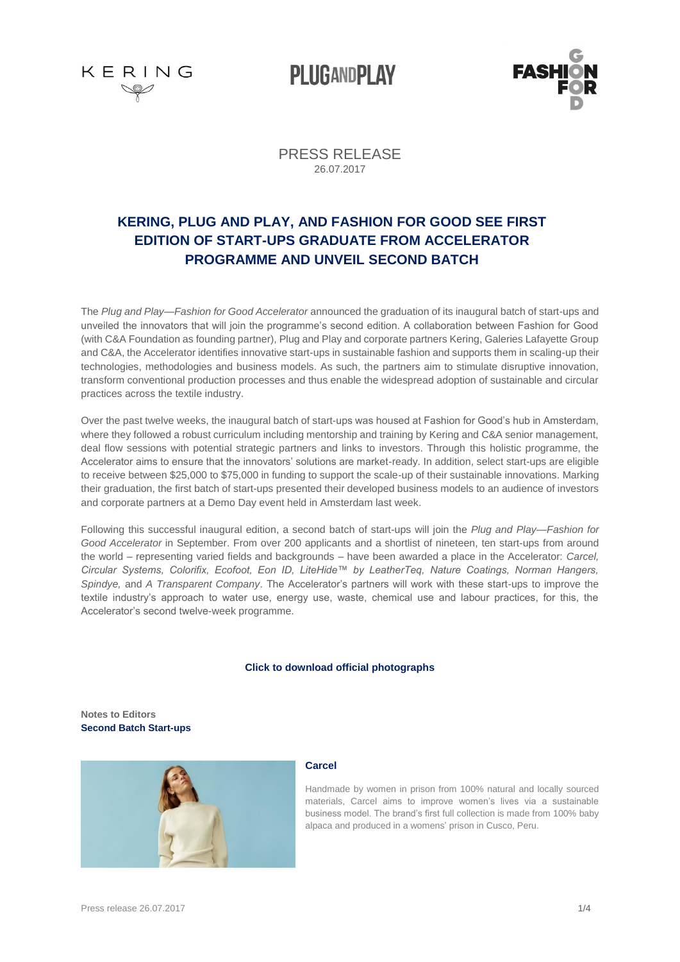

**PLUGANDPLAY** 



PRESS RELEASE 26.07.2017

### **KERING, PLUG AND PLAY, AND FASHION FOR GOOD SEE FIRST EDITION OF START-UPS GRADUATE FROM ACCELERATOR PROGRAMME AND UNVEIL SECOND BATCH**

The *Plug and Play—Fashion for Good Accelerator* announced the graduation of its inaugural batch of start-ups and unveiled the innovators that will join the programme's second edition. A collaboration between Fashion for Good (with C&A Foundation as founding partner), Plug and Play and corporate partners Kering, Galeries Lafayette Group and C&A, the Accelerator identifies innovative start-ups in sustainable fashion and supports them in scaling-up their technologies, methodologies and business models. As such, the partners aim to stimulate disruptive innovation, transform conventional production processes and thus enable the widespread adoption of sustainable and circular practices across the textile industry.

Over the past twelve weeks, the inaugural batch of start-ups was housed at Fashion for Good's hub in Amsterdam, where they followed a robust curriculum including mentorship and training by Kering and C&A senior management, deal flow sessions with potential strategic partners and links to investors. Through this holistic programme, the Accelerator aims to ensure that the innovators' solutions are market-ready. In addition, select start-ups are eligible to receive between \$25,000 to \$75,000 in funding to support the scale-up of their sustainable innovations. Marking their graduation, the first batch of start-ups presented their developed business models to an audience of investors and corporate partners at a Demo Day event held in Amsterdam last week.

Following this successful inaugural edition, a second batch of start-ups will join the *Plug and Play—Fashion for Good Accelerator* in September. From over 200 applicants and a shortlist of nineteen, ten start-ups from around the world – representing varied fields and backgrounds – have been awarded a place in the Accelerator: *Carcel, Circular Systems, Colorifix, Ecofoot, Eon ID, LiteHide™ by LeatherTeq, Nature Coatings, Norman Hangers, Spindye,* and *A Transparent Company*. The Accelerator's partners will work with these start-ups to improve the textile industry's approach to water use, energy use, waste, chemical use and labour practices, for this, the Accelerator's second twelve-week programme.

#### **[Click to download official photographs](https://we.tl/9uGta9M4PF)**

**Notes to Editors Second Batch Start-ups**



#### **Carcel**

Handmade by women in prison from 100% natural and locally sourced materials, Carcel aims to improve women's lives via a sustainable business model. The brand's first full collection is made from 100% baby alpaca and produced in a womens' prison in Cusco, Peru.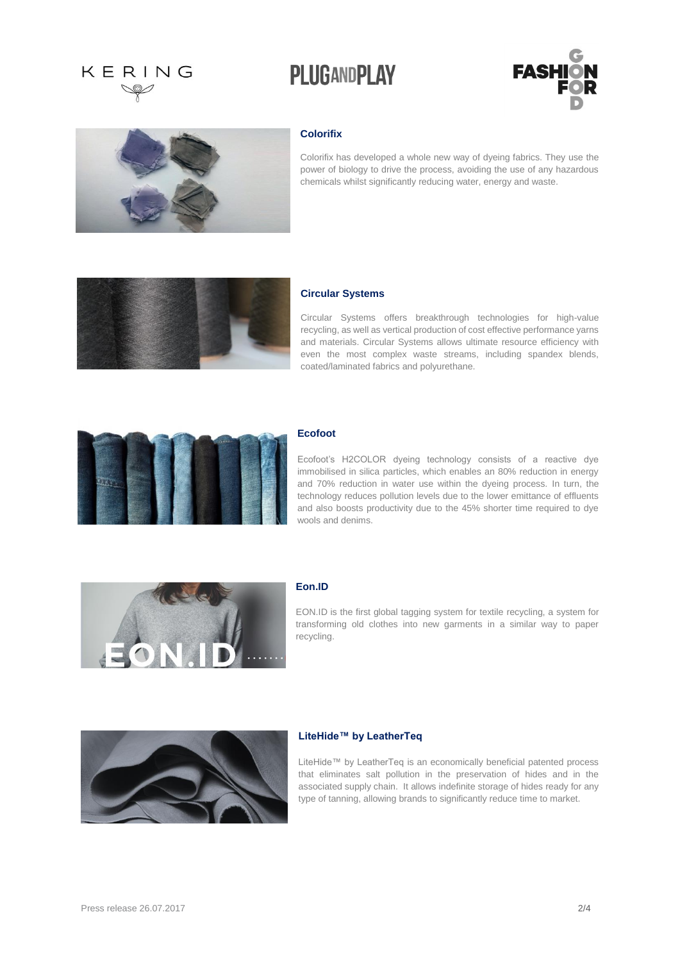## KERING

## **PLUGANDPLAY**





#### **Colorifix**

Colorifix has developed a whole new way of dyeing fabrics. They use the power of biology to drive the process, avoiding the use of any hazardous chemicals whilst significantly reducing water, energy and waste.



#### **Circular Systems**

Circular Systems offers breakthrough technologies for high-value recycling, as well as vertical production of cost effective performance yarns and materials. Circular Systems allows ultimate resource efficiency with even the most complex waste streams, including spandex blends, coated/laminated fabrics and polyurethane.



#### **Ecofoot**

Ecofoot's H2COLOR dyeing technology consists of a reactive dye immobilised in silica particles, which enables an 80% reduction in energy and 70% reduction in water use within the dyeing process. In turn, the technology reduces pollution levels due to the lower emittance of effluents and also boosts productivity due to the 45% shorter time required to dye wools and denims.



#### **Eon.ID**

EON.ID is the first global tagging system for textile recycling, a system for transforming old clothes into new garments in a similar way to paper recycling.



#### **LiteHide™ by LeatherTeq**

LiteHide™ by LeatherTeq is an economically beneficial patented process that eliminates salt pollution in the preservation of hides and in the associated supply chain. It allows indefinite storage of hides ready for any type of tanning, allowing brands to significantly reduce time to market.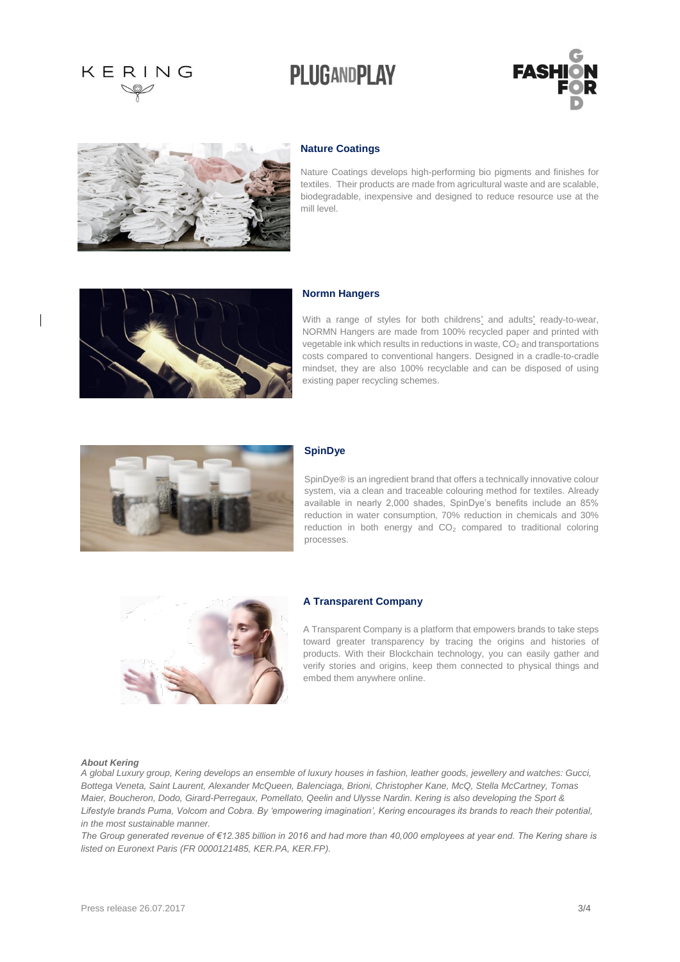# KERING

### **PLUGANDPLAY**





#### **Nature Coatings**

Nature Coatings develops high-performing bio pigments and finishes for textiles. Their products are made from agricultural waste and are scalable, biodegradable, inexpensive and designed to reduce resource use at the mill level.



#### **Normn Hangers**

With a range of styles for both childrens' and adults' ready-to-wear, NORMN Hangers are made from 100% recycled paper and printed with vegetable ink which results in reductions in waste,  $CO<sub>2</sub>$  and transportations costs compared to conventional hangers. Designed in a cradle-to-cradle mindset, they are also 100% recyclable and can be disposed of using existing paper recycling schemes.



#### **SpinDye**

SpinDye® is an ingredient brand that offers a technically innovative colour system, via a clean and traceable colouring method for textiles. Already available in nearly 2,000 shades, SpinDye's benefits include an 85% reduction in water consumption, 70% reduction in chemicals and 30% reduction in both energy and  $CO<sub>2</sub>$  compared to traditional coloring processes.



#### **A Transparent Company**

A Transparent Company is a platform that empowers brands to take steps toward greater transparency by tracing the origins and histories of products. With their Blockchain technology, you can easily gather and verify stories and origins, keep them connected to physical things and embed them anywhere online.

#### *About Kering*

*A global Luxury group, Kering develops an ensemble of luxury houses in fashion, leather goods, jewellery and watches: Gucci, Bottega Veneta, Saint Laurent, Alexander McQueen, Balenciaga, Brioni, Christopher Kane, McQ, Stella McCartney, Tomas Maier, Boucheron, Dodo, Girard-Perregaux, Pomellato, Qeelin and Ulysse Nardin. Kering is also developing the Sport & Lifestyle brands Puma, Volcom and Cobra. By 'empowering imagination', Kering encourages its brands to reach their potential, in the most sustainable manner.* 

*The Group generated revenue of €12.385 billion in 2016 and had more than 40,000 employees at year end. The Kering share is listed on Euronext Paris (FR 0000121485, KER.PA, KER.FP).*